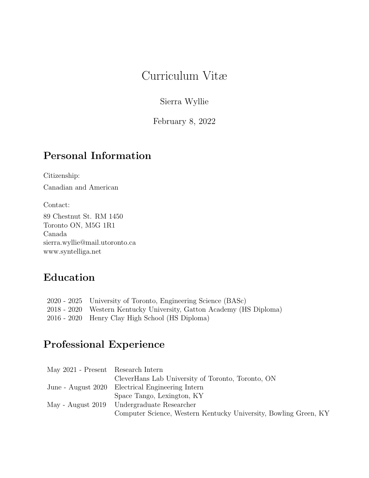# Curriculum Vitæ

Sierra Wyllie

February 8, 2022

#### Personal Information

Citizenship:

Canadian and American

Contact:

89 Chestnut St. RM 1450 Toronto ON, M5G 1R1 Canada sierra.wyllie@mail.utoronto.ca www.syntelliga.net

### Education

| 2020 - 2025 University of Toronto, Engineering Science (BASc)        |
|----------------------------------------------------------------------|
| 2018 - 2020 Western Kentucky University, Gatton Academy (HS Diploma) |
| 2016 - 2020 Henry Clay High School (HS Diploma)                      |

### Professional Experience

| May 2021 - Present Research Intern |                                                                  |
|------------------------------------|------------------------------------------------------------------|
|                                    | CleverHans Lab University of Toronto, Toronto, ON                |
|                                    | June - August 2020 Electrical Engineering Intern                 |
|                                    | Space Tango, Lexington, KY                                       |
|                                    | May - August 2019 Undergraduate Researcher                       |
|                                    | Computer Science, Western Kentucky University, Bowling Green, KY |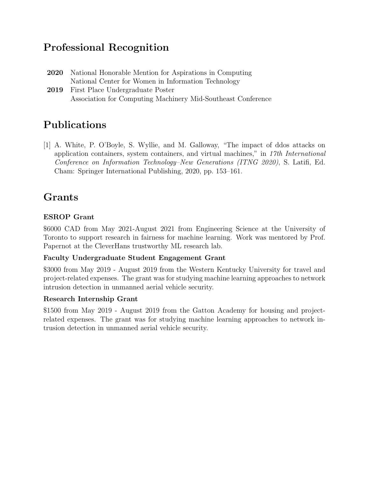#### Professional Recognition

- 2020 National Honorable Mention for Aspirations in Computing National Center for Women in Information Technology
- 2019 First Place Undergraduate Poster Association for Computing Machinery Mid-Southeast Conference

## Publications

[1] A. White, P. O'Boyle, S. Wyllie, and M. Galloway, "The impact of ddos attacks on application containers, system containers, and virtual machines," in 17th International Conference on Information Technology–New Generations (ITNG 2020), S. Latifi, Ed. Cham: Springer International Publishing, 2020, pp. 153–161.

### Grants

#### ESROP Grant

\$6000 CAD from May 2021-August 2021 from Engineering Science at the University of Toronto to support research in fairness for machine learning. Work was mentored by Prof. Papernot at the CleverHans trustworthy ML research lab.

#### Faculty Undergraduate Student Engagement Grant

\$3000 from May 2019 - August 2019 from the Western Kentucky University for travel and project-related expenses. The grant was for studying machine learning approaches to network intrusion detection in unmanned aerial vehicle security.

#### Research Internship Grant

\$1500 from May 2019 - August 2019 from the Gatton Academy for housing and projectrelated expenses. The grant was for studying machine learning approaches to network intrusion detection in unmanned aerial vehicle security.